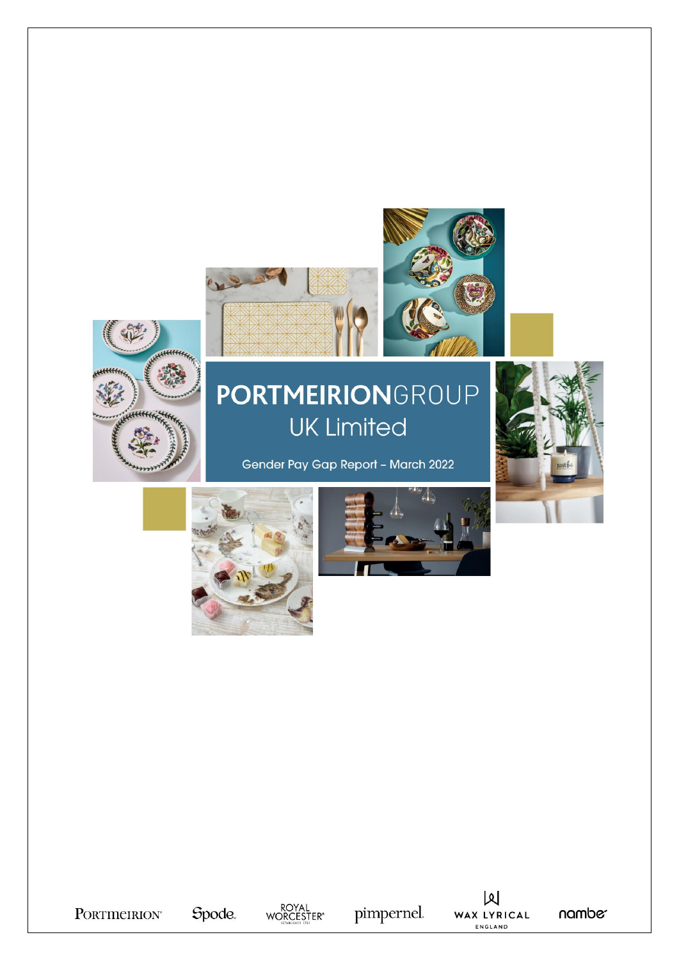



## PORTMEIRIONGROUP **UK Limited**

Gender Pay Gap Report - March 2022









pimpernel.

 $\mathsf{M}$ WAX LYRICAL ENGLAND

nambe<sup>-</sup>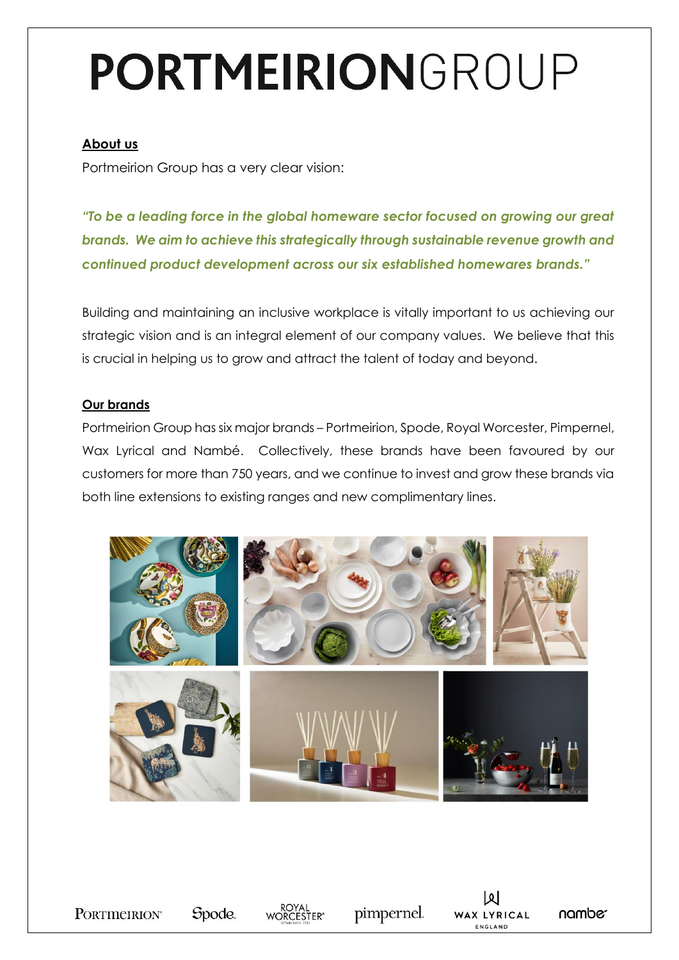# PORTMEIRIONGROUP

#### **About us**

Portmeirion Group has a very clear vision:

*"To be a leading force in the global homeware sector focused on growing our great brands. We aim to achieve this strategically through sustainable revenue growth and continued product development across our six established homewares brands."*

Building and maintaining an inclusive workplace is vitally important to us achieving our strategic vision and is an integral element of our company values. We believe that this is crucial in helping us to grow and attract the talent of today and beyond.

#### **Our brands**

Portmeirion Group has six major brands – Portmeirion, Spode, Royal Worcester, Pimpernel, Wax Lyrical and Nambé. Collectively, these brands have been favoured by our customers for more than 750 years, and we continue to invest and grow these brands via both line extensions to existing ranges and new complimentary lines.



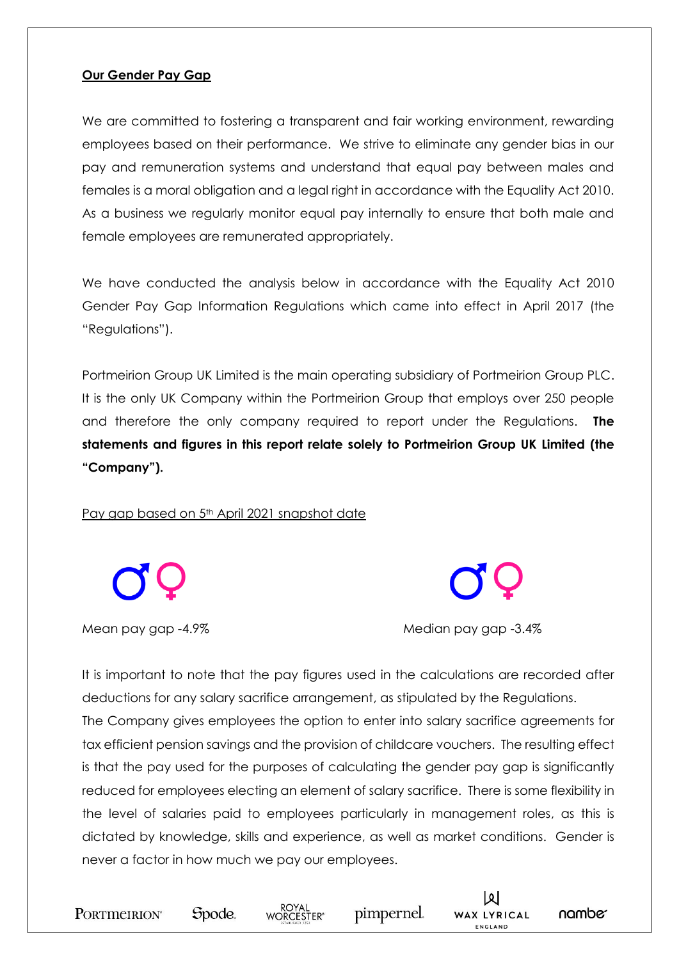#### **Our Gender Pay Gap**

We are committed to fostering a transparent and fair working environment, rewarding employees based on their performance. We strive to eliminate any gender bias in our pay and remuneration systems and understand that equal pay between males and females is a moral obligation and a legal right in accordance with the Equality Act 2010. As a business we regularly monitor equal pay internally to ensure that both male and female employees are remunerated appropriately.

We have conducted the analysis below in accordance with the Equality Act 2010 Gender Pay Gap Information Regulations which came into effect in April 2017 (the "Regulations").

Portmeirion Group UK Limited is the main operating subsidiary of Portmeirion Group PLC. It is the only UK Company within the Portmeirion Group that employs over 250 people and therefore the only company required to report under the Regulations. **The statements and figures in this report relate solely to Portmeirion Group UK Limited (the "Company").**

Pay gap based on 5<sup>th</sup> April 2021 snapshot date

Mean pay gap -4.9% Median pay gap -3.4%

It is important to note that the pay figures used in the calculations are recorded after deductions for any salary sacrifice arrangement, as stipulated by the Regulations. The Company gives employees the option to enter into salary sacrifice agreements for tax efficient pension savings and the provision of childcare vouchers. The resulting effect is that the pay used for the purposes of calculating the gender pay gap is significantly reduced for employees electing an element of salary sacrifice. There is some flexibility in the level of salaries paid to employees particularly in management roles, as this is dictated by knowledge, skills and experience, as well as market conditions. Gender is never a factor in how much we pay our employees.







pimpernel.



namber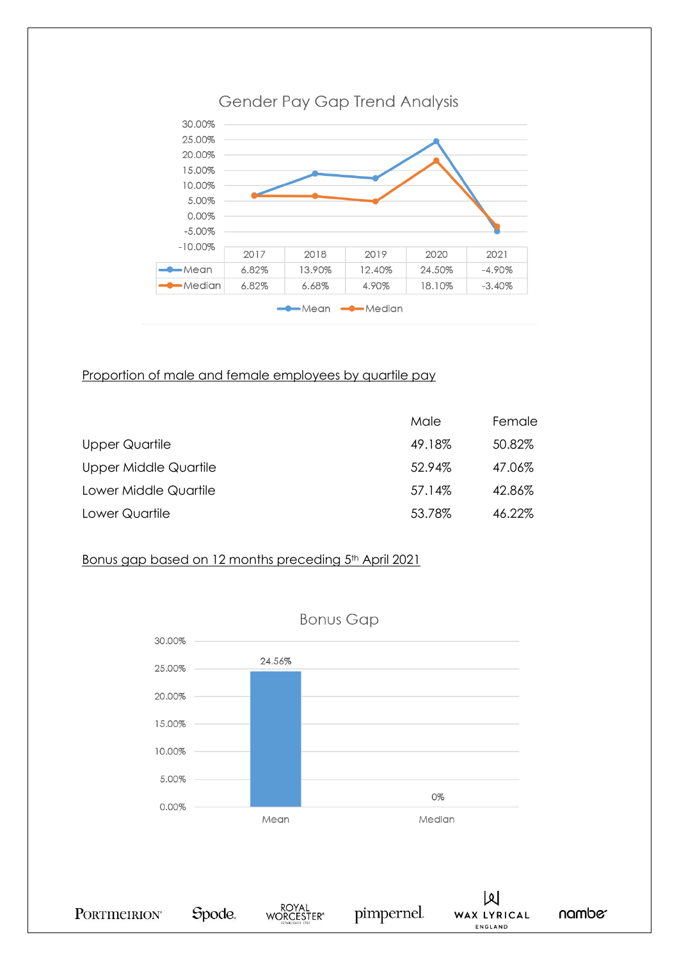

#### Proportion of male and female employees by quartile pay

|                       | Male   | Female |
|-----------------------|--------|--------|
| Upper Quartile        | 49.18% | 50.82% |
| Upper Middle Quartile | 52.94% | 47.06% |
| Lower Middle Quartile | 57.14% | 42.86% |
| Lower Quartile        | 53.78% | 46.22% |

#### Bonus gap based on 12 months preceding 5<sup>th</sup> April 2021

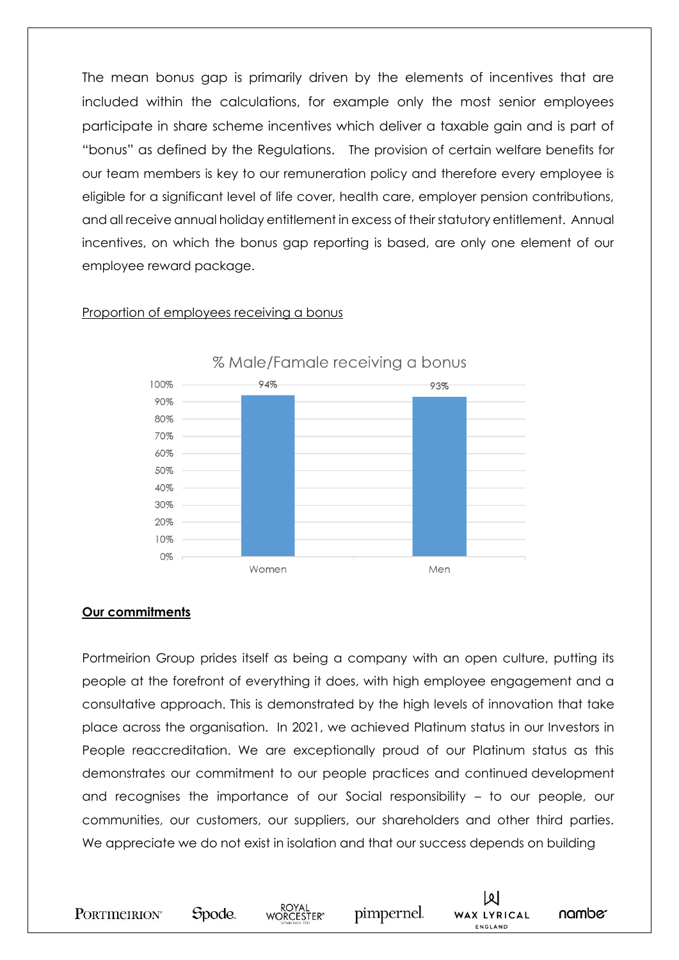The mean bonus gap is primarily driven by the elements of incentives that are included within the calculations, for example only the most senior employees participate in share scheme incentives which deliver a taxable gain and is part of "bonus" as defined by the Regulations. The provision of certain welfare benefits for our team members is key to our remuneration policy and therefore every employee is eligible for a significant level of life cover, health care, employer pension contributions, and all receive annual holiday entitlement in excess of their statutory entitlement. Annual incentives, on which the bonus gap reporting is based, are only one element of our employee reward package.



#### Proportion of employees receiving a bonus

#### **Our commitments**

Portmeirion Group prides itself as being a company with an open culture, putting its people at the forefront of everything it does, with high employee engagement and a consultative approach. This is demonstrated by the high levels of innovation that take place across the organisation. In 2021, we achieved Platinum status in our Investors in People reaccreditation. We are exceptionally proud of our Platinum status as this demonstrates our commitment to our people practices and continued development and recognises the importance of our Social responsibility – to our people, our communities, our customers, our suppliers, our shareholders and other third parties. We appreciate we do not exist in isolation and that our success depends on building

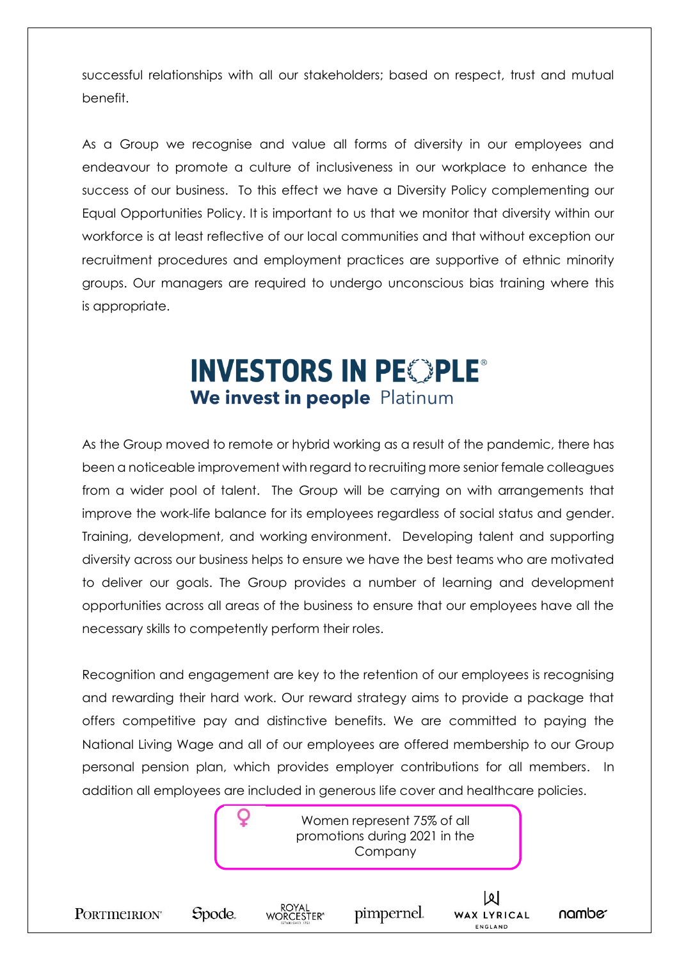successful relationships with all our stakeholders; based on respect, trust and mutual benefit.

As a Group we recognise and value all forms of diversity in our employees and endeavour to promote a culture of inclusiveness in our workplace to enhance the success of our business. To this effect we have a Diversity Policy complementing our Equal Opportunities Policy. It is important to us that we monitor that diversity within our workforce is at least reflective of our local communities and that without exception our recruitment procedures and employment practices are supportive of ethnic minority groups. Our managers are required to undergo unconscious bias training where this is appropriate.

### **INVESTORS IN PEOPLE®** We invest in people Platinum

As the Group moved to remote or hybrid working as a result of the pandemic, there has been a noticeable improvement with regard to recruiting more senior female colleagues from a wider pool of talent. The Group will be carrying on with arrangements that improve the work-life balance for its employees regardless of social status and gender. Training, development, and working environment. Developing talent and supporting diversity across our business helps to ensure we have the best teams who are motivated to deliver our goals. The Group provides a number of learning and development opportunities across all areas of the business to ensure that our employees have all the necessary skills to competently perform their roles.

Recognition and engagement are key to the retention of our employees is recognising and rewarding their hard work. Our reward strategy aims to provide a package that offers competitive pay and distinctive benefits. We are committed to paying the National Living Wage and all of our employees are offered membership to our Group personal pension plan, which provides employer contributions for all members. In addition all employees are included in generous life cover and healthcare policies.